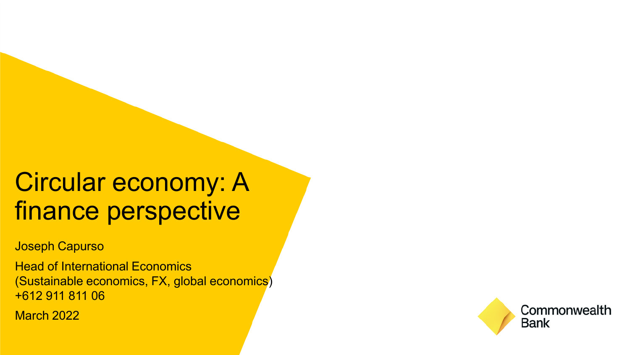# Circular economy: A finance perspective

Joseph Capurso

Head of International Economics (Sustainable economics, FX, global economics) +612 911 811 06

March 2022

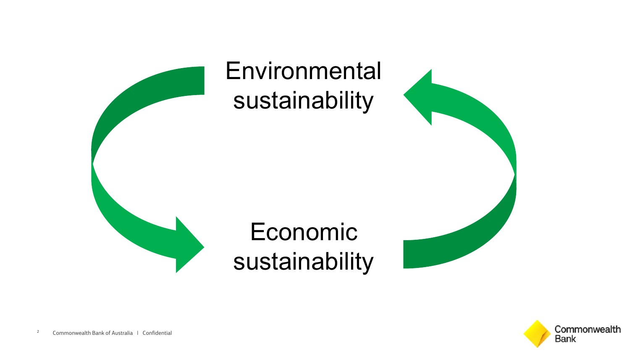

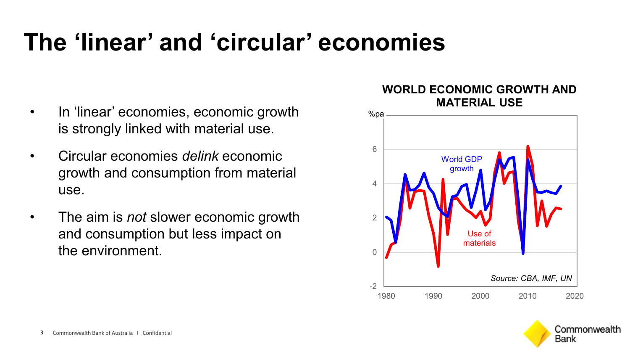## **The 'linear' and 'circular' economies**

- In 'linear' economies, economic growth is strongly linked with material use.
- Circular economies *delink* economic growth and consumption from material use.
- The aim is *not* slower economic growth and consumption but less impact on the environment.

### **WORLD ECONOMIC GROWTH AND MATERIAL USE**



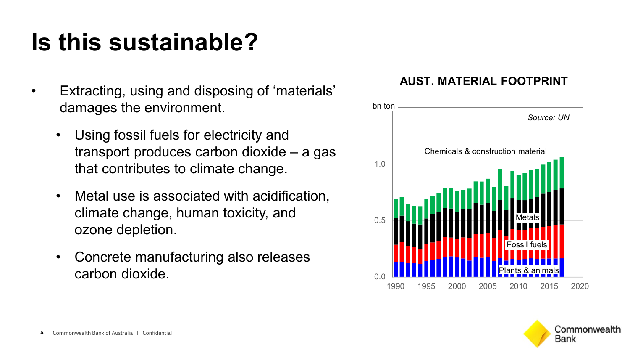# **Is this sustainable?**

- Extracting, using and disposing of 'materials' damages the environment.
	- Using fossil fuels for electricity and transport produces carbon dioxide – a gas that contributes to climate change.
	- Metal use is associated with acidification, climate change, human toxicity, and ozone depletion.
	- Concrete manufacturing also releases carbon dioxide.

### **AUST. MATERIAL FOOTPRINT**



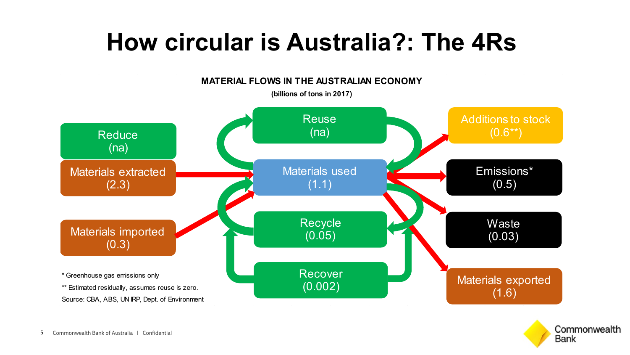## **How circular is Australia?: The 4Rs**



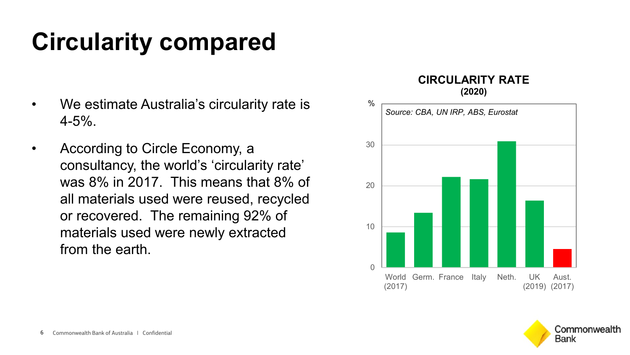# **Circularity compared**

- We estimate Australia's circularity rate is 4-5%.
- According to Circle Economy, a consultancy, the world's 'circularity rate' was 8% in 2017. This means that 8% of all materials used were reused, recycled or recovered. The remaining 92% of materials used were newly extracted from the earth.

#### **CIRCULARITY RATE (2020)**



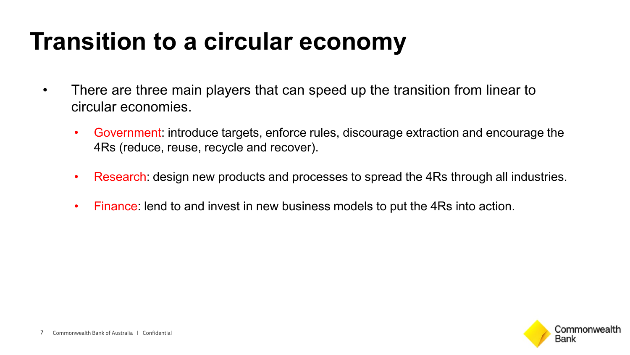# **Transition to a circular economy**

- There are three main players that can speed up the transition from linear to circular economies.
	- Government: introduce targets, enforce rules, discourage extraction and encourage the 4Rs (reduce, reuse, recycle and recover).
	- Research: design new products and processes to spread the 4Rs through all industries.
	- Finance: lend to and invest in new business models to put the 4Rs into action.

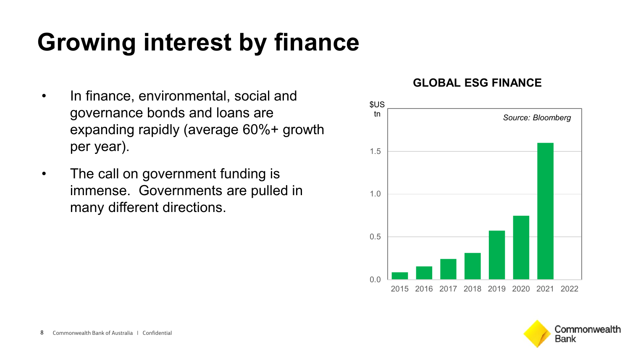# **Growing interest by finance**

- In finance, environmental, social and governance bonds and loans are expanding rapidly (average 60%+ growth per year).
- The call on government funding is immense. Governments are pulled in many different directions.

### **GLOBAL ESG FINANCE**



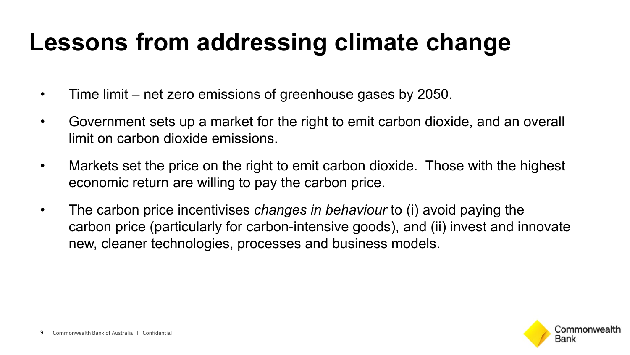## **Lessons from addressing climate change**

- Time limit net zero emissions of greenhouse gases by 2050.
- Government sets up a market for the right to emit carbon dioxide, and an overall limit on carbon dioxide emissions.
- Markets set the price on the right to emit carbon dioxide. Those with the highest economic return are willing to pay the carbon price.
- The carbon price incentivises *changes in behaviour* to (i) avoid paying the carbon price (particularly for carbon-intensive goods), and (ii) invest and innovate new, cleaner technologies, processes and business models.

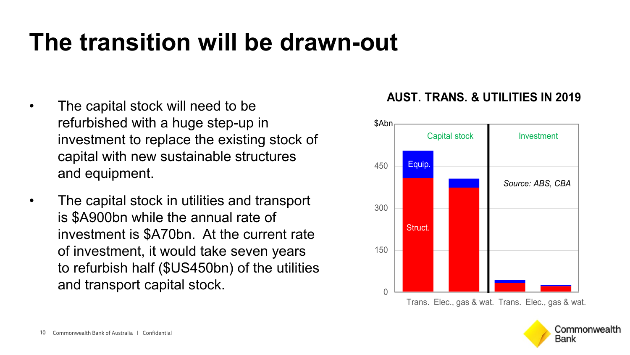## **The transition will be drawn-out**

- The capital stock will need to be refurbished with a huge step-up in investment to replace the existing stock of capital with new sustainable structures and equipment.
- The capital stock in utilities and transport is \$A900bn while the annual rate of investment is \$A70bn. At the current rate of investment, it would take seven years to refurbish half (\$US450bn) of the utilities and transport capital stock.  $\overline{\phantom{a}}$

### **AUST. TRANS. & UTILITIES IN 2019**



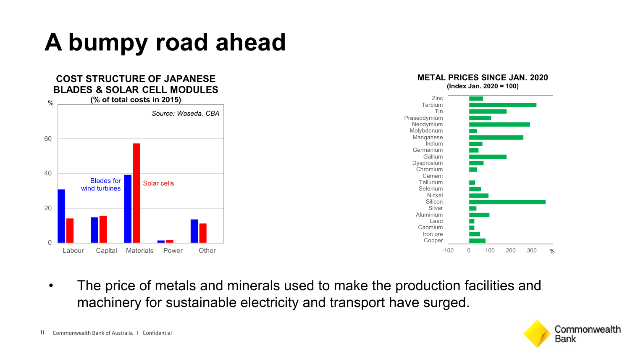# **A bumpy road ahead**



• The price of metals and minerals used to make the production facilities and machinery for sustainable electricity and transport have surged.

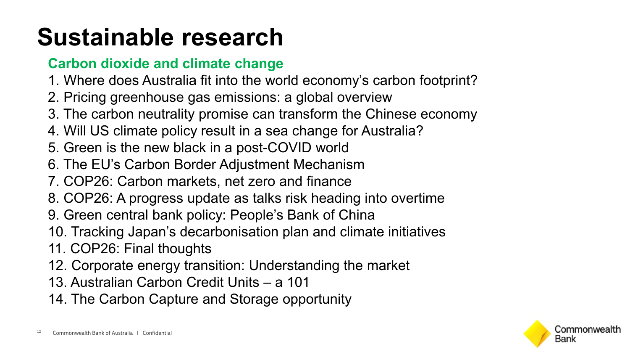# **Sustainable research**

## **Carbon dioxide and climate change**

- 1. Where does Australia fit into the world economy's carbon footprint?
- 2. Pricing greenhouse gas emissions: a global overview
- 3. The carbon neutrality promise can transform the Chinese economy
- 4. Will US climate policy result in a sea change for Australia?
- 5. Green is the new black in a post-COVID world
- 6. The EU's Carbon Border Adjustment Mechanism
- 7. COP26: Carbon markets, net zero and finance
- 8. COP26: A progress update as talks risk heading into overtime
- 9. Green central bank policy: People's Bank of China
- 10. Tracking Japan's decarbonisation plan and climate initiatives
- 11. COP26: Final thoughts
- 12. Corporate energy transition: Understanding the market
- 13. Australian Carbon Credit Units a 101
- 14. The Carbon Capture and Storage opportunity

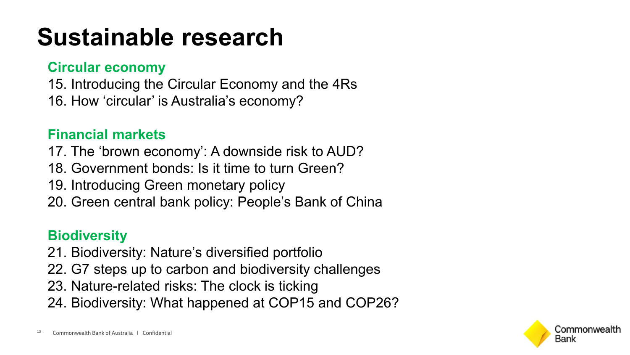# **Sustainable research**

## **Circular economy**

15. Introducing the Circular Economy and the 4Rs

16. How 'circular' is Australia's economy?

## **Financial markets**

- 17. The 'brown economy': A downside risk to AUD?
- 18. Government bonds: Is it time to turn Green?
- 19. Introducing Green monetary policy
- 20. Green central bank policy: People's Bank of China

## **Biodiversity**

- 21. Biodiversity: Nature's diversified portfolio
- 22. G7 steps up to carbon and biodiversity challenges
- 23. Nature-related risks: The clock is ticking
- 24. Biodiversity: What happened at COP15 and COP26?

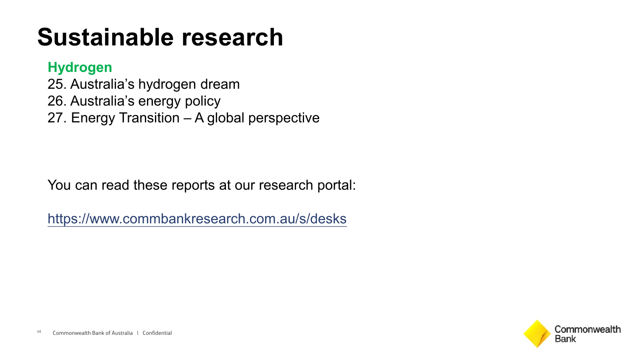# **Sustainable research**

### **Hydrogen**

25. Australia's hydrogen dream 26. Australia's energy policy 27. Energy Transition – A global perspective

You can read these reports at our research portal:

<https://www.commbankresearch.com.au/s/desks>

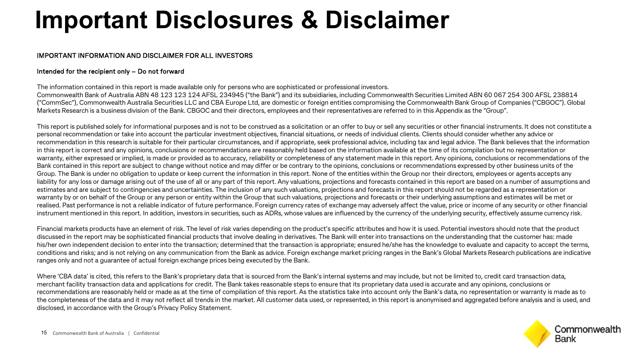## **Important Disclosures & Disclaimer**

#### IMPORTANT INFORMATION AND DISCLAIMER FOR ALL INVESTORS

#### Intended for the recipient only – Do not forward

The information contained in this report is made available only for persons who are sophisticated or professional investors.

Commonwealth Bank of Australia ABN 48 123 123 124 AFSL 234945 ("the Bank") and its subsidiaries, including Commonwealth Securities Limited ABN 60 067 254 300 AFSL 238814 ("CommSec"), Commonwealth Australia Securities LLC and CBA Europe Ltd, are domestic or foreign entities compromising the Commonwealth Bank Group of Companies ("CBGOC"). Global Markets Research is a business division of the Bank. CBGOC and their directors, employees and their representatives are referred to in this Appendix as the "Group".

This report is published solely for informational purposes and is not to be construed as a solicitation or an offer to buy or sell any securities or other financial instruments. It does not constitute a personal recommendation or take into account the particular investment objectives, financial situations, or needs of individual clients. Clients should consider whether any advice or recommendation in this research is suitable for their particular circumstances, and if appropriate, seek professional advice, including tax and legal advice. The Bank believes that the information in this report is correct and any opinions, conclusions or recommendations are reasonably held based on the information available at the time of its compilation but no representation or warranty, either expressed or implied, is made or provided as to accuracy, reliability or completeness of any statement made in this report. Any opinions, conclusions or recommendations of the Bank contained in this report are subject to change without notice and may differ or be contrary to the opinions, conclusions or recommendations expressed by other business units of the Group. The Bank is under no obligation to update or keep current the information in this report. None of the entities within the Group nor their directors, employees or agents accepts any liability for any loss or damage arising out of the use of all or any part of this report. Any valuations, projections and forecasts contained in this report are based on a number of assumptions and estimates and are subject to contingencies and uncertainties. The inclusion of any such valuations, projections and forecasts in this report should not be regarded as a representation or warranty by or on behalf of the Group or any person or entity within the Group that such valuations, projections and forecasts or their underlying assumptions and estimates will be met or realised. Past performance is not a reliable indicator of future performance. Foreign currency rates of exchange may adversely affect the value, price or income of any security or other financial instrument mentioned in this report. In addition, investors in securities, such as ADRs, whose values are influenced by the currency of the underlying security, effectively assume currency risk.

Financial markets products have an element of risk. The level of risk varies depending on the product's specific attributes and how it is used. Potential investors should note that the product discussed in the report may be sophisticated financial products that involve dealing in derivatives. The Bank will enter into transactions on the understanding that the customer has: made his/her own independent decision to enter into the transaction; determined that the transaction is appropriate; ensured he/she has the knowledge to evaluate and capacity to accept the terms, conditions and risks; and is not relying on any communication from the Bank as advice. Foreign exchange market pricing ranges in the Bank's Global Markets Research publications are indicative ranges only and not a guarantee of actual foreign exchange prices being executed by the Bank.

Where 'CBA data' is cited, this refers to the Bank's proprietary data that is sourced from the Bank's internal systems and may include, but not be limited to, credit card transaction data, merchant facility transaction data and applications for credit. The Bank takes reasonable steps to ensure that its proprietary data used is accurate and any opinions, conclusions or recommendations are reasonably held or made as at the time of compilation of this report. As the statistics take into account only the Bank's data, no representation or warranty is made as to the completeness of the data and it may not reflect all trends in the market. All customer data used, or represented, in this report is anonymised and aggregated before analysis and is used, and disclosed, in accordance with the Group's Privacy Policy Statement.

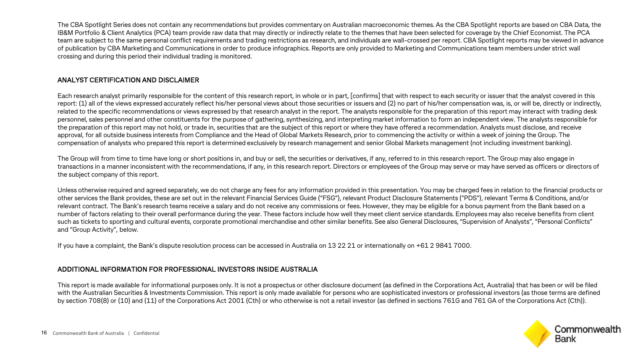The CBA Spotlight Series does not contain any recommendations but provides commentary on Australian macroeconomic themes. As the CBA Spotlight reports are based on CBA Data, the IB&M Portfolio & Client Analytics (PCA) team provide raw data that may directly or indirectly relate to the themes that have been selected for coverage by the Chief Economist. The PCA team are subject to the same personal conflict requirements and trading restrictions as research, and individuals are wall-crossed per report. CBA Spotlight reports may be viewed in advance of publication by CBA Marketing and Communications in order to produce infographics. Reports are only provided to Marketing and Communications team members under strict wall crossing and during this period their individual trading is monitored.

#### ANALYST CERTIFICATION AND DISCLAIMER

Each research analyst primarily responsible for the content of this research report, in whole or in part, [confirms] that with respect to each security or issuer that the analyst covered in this report: (1) all of the views expressed accurately reflect his/her personal views about those securities or issuers and (2) no part of his/her compensation was, is, or will be, directly or indirectly, related to the specific recommendations or views expressed by that research analyst in the report. The analysts responsible for the preparation of this report may interact with trading desk personnel, sales personnel and other constituents for the purpose of gathering, synthesizing, and interpreting market information to form an independent view. The analysts responsible for the preparation of this report may not hold, or trade in, securities that are the subject of this report or where they have offered a recommendation. Analysts must disclose, and receive approval, for all outside business interests from Compliance and the Head of Global Markets Research, prior to commencing the activity or within a week of joining the Group. The compensation of analysts who prepared this report is determined exclusively by research management and senior Global Markets management (not including investment banking).

The Group will from time to time have long or short positions in, and buy or sell, the securities or derivatives, if any, referred to in this research report. The Group may also engage in transactions in a manner inconsistent with the recommendations, if any, in this research report. Directors or employees of the Group may serve or may have served as officers or directors of the subject company of this report.

Unless otherwise required and agreed separately, we do not charge any fees for any information provided in this presentation. You may be charged fees in relation to the financial products or other services the Bank provides, these are set out in the relevant Financial Services Guide ("FSG"), relevant Product Disclosure Statements ("PDS"), relevant Terms & Conditions, and/or relevant contract. The Bank's research teams receive a salary and do not receive any commissions or fees. However, they may be eligible for a bonus payment from the Bank based on a number of factors relating to their overall performance during the year. These factors include how well they meet client service standards. Employees may also receive benefits from client such as tickets to sporting and cultural events, corporate promotional merchandise and other similar benefits. See also General Disclosures, "Supervision of Analysts", "Personal Conflicts" and "Group Activity", below.

If you have a complaint, the Bank's dispute resolution process can be accessed in Australia on 13 22 21 or internationally on +61 2 9841 7000.

#### ADDITIONAL INFORMATION FOR PROFESSIONAL INVESTORS INSIDE AUSTRALIA

This report is made available for informational purposes only. It is not a prospectus or other disclosure document (as defined in the Corporations Act, Australia) that has been or will be filed with the Australian Securities & Investments Commission. This report is only made available for persons who are sophisticated investors or professional investors (as those terms are defined by section 708(8) or (10) and (11) of the Corporations Act 2001 (Cth) or who otherwise is not a retail investor (as defined in sections 761G and 761 GA of the Corporations Act (Cth)).

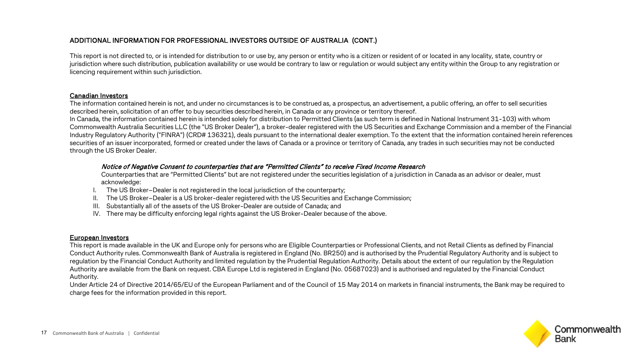This report is not directed to, or is intended for distribution to or use by, any person or entity who is a citizen or resident of or located in any locality, state, country or jurisdiction where such distribution, publication availability or use would be contrary to law or regulation or would subject any entity within the Group to any registration or licencing requirement within such jurisdiction.

#### Canadian Investors

The information contained herein is not, and under no circumstances is to be construed as, a prospectus, an advertisement, a public offering, an offer to sell securities described herein, solicitation of an offer to buy securities described herein, in Canada or any province or territory thereof.

In Canada, the information contained herein is intended solely for distribution to Permitted Clients (as such term is defined in National Instrument 31-103) with whom Commonwealth Australia Securities LLC (the "US Broker Dealer"), a broker-dealer registered with the US Securities and Exchange Commission and a member of the Financial Industry Regulatory Authority ("FINRA") (CRD# 136321), deals pursuant to the international dealer exemption. To the extent that the information contained herein references securities of an issuer incorporated, formed or created under the laws of Canada or a province or territory of Canada, any trades in such securities may not be conducted through the US Broker Dealer.

#### Notice of Negative Consent to counterparties that are "Permitted Clients" to receive Fixed Income Research

Counterparties that are "Permitted Clients" but are not registered under the securities legislation of a jurisdiction in Canada as an advisor or dealer, must acknowledge:

- I. The US Broker–Dealer is not registered in the local jurisdiction of the counterparty;
- II. The US Broker–Dealer is a US broker-dealer registered with the US Securities and Exchange Commission;
- III. Substantially all of the assets of the US Broker-Dealer are outside of Canada; and
- IV. There may be difficulty enforcing legal rights against the US Broker-Dealer because of the above.

#### European Investors

This report is made available in the UK and Europe only for persons who are Eligible Counterparties or Professional Clients, and not Retail Clients as defined by Financial Conduct Authority rules. Commonwealth Bank of Australia is registered in England (No. BR250) and is authorised by the Prudential Regulatory Authority and is subject to regulation by the Financial Conduct Authority and limited regulation by the Prudential Regulation Authority. Details about the extent of our regulation by the Regulation Authority are available from the Bank on request. CBA Europe Ltd is registered in England (No. 05687023) and is authorised and regulated by the Financial Conduct Authority.

Under Article 24 of Directive 2014/65/EU of the European Parliament and of the Council of 15 May 2014 on markets in financial instruments, the Bank may be required to charge fees for the information provided in this report.

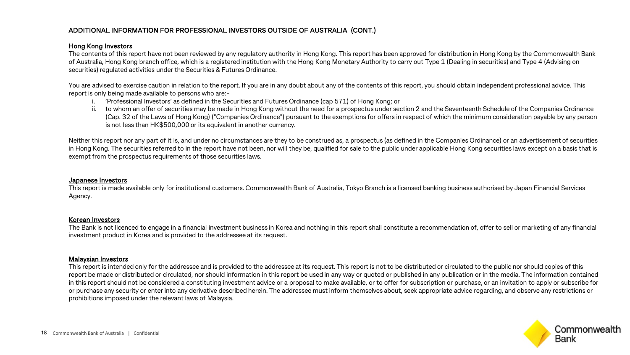#### Hong Kong Investors

The contents of this report have not been reviewed by any regulatory authority in Hong Kong. This report has been approved for distribution in Hong Kong by the Commonwealth Bank of Australia, Hong Kong branch office, which is a registered institution with the Hong Kong Monetary Authority to carry out Type 1 (Dealing in securities) and Type 4 (Advising on securities) regulated activities under the Securities & Futures Ordinance.

You are advised to exercise caution in relation to the report. If you are in any doubt about any of the contents of this report, you should obtain independent professional advice. This report is only being made available to persons who are:-

- i. 'Professional Investors' as defined in the Securities and Futures Ordinance (cap 571) of Hong Kong; or
- ii. to whom an offer of securities may be made in Hong Kong without the need for a prospectus under section 2 and the Seventeenth Schedule of the Companies Ordinance (Cap. 32 of the Laws of Hong Kong) ("Companies Ordinance") pursuant to the exemptions for offers in respect of which the minimum consideration payable by any person is not less than HK\$500,000 or its equivalent in another currency.

Neither this report nor any part of it is, and under no circumstances are they to be construed as, a prospectus (as defined in the Companies Ordinance) or an advertisement of securities in Hong Kong. The securities referred to in the report have not been, nor will they be, qualified for sale to the public under applicable Hong Kong securities laws except on a basis that is exempt from the prospectus requirements of those securities laws.

#### Japanese Investors

This report is made available only for institutional customers. Commonwealth Bank of Australia, Tokyo Branch is a licensed banking business authorised by Japan Financial Services Agency.

#### Korean Investors

The Bank is not licenced to engage in a financial investment business in Korea and nothing in this report shall constitute a recommendation of, offer to sell or marketing of any financial investment product in Korea and is provided to the addressee at its request.

#### Malaysian Investors

This report is intended only for the addressee and is provided to the addressee at its request. This report is not to be distributed or circulated to the public nor should copies of this report be made or distributed or circulated, nor should information in this report be used in any way or quoted or published in any publication or in the media. The information contained in this report should not be considered a constituting investment advice or a proposal to make available, or to offer for subscription or purchase, or an invitation to apply or subscribe for or purchase any security or enter into any derivative described herein. The addressee must inform themselves about, seek appropriate advice regarding, and observe any restrictions or prohibitions imposed under the relevant laws of Malaysia.

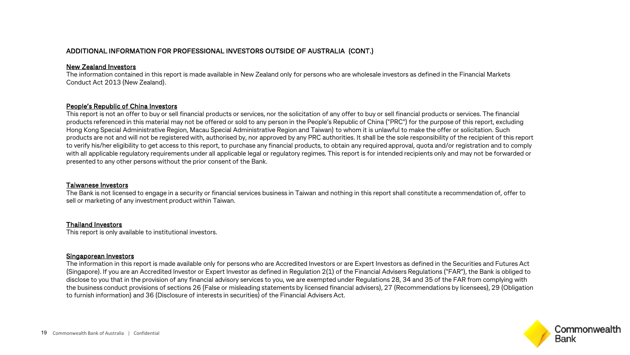#### New Zealand Investors

The information contained in this report is made available in New Zealand only for persons who are wholesale investors as defined in the Financial Markets Conduct Act 2013 (New Zealand).

#### People's Republic of China Investors

This report is not an offer to buy or sell financial products or services, nor the solicitation of any offer to buy or sell financial products or services. The financial products referenced in this material may not be offered or sold to any person in the People's Republic of China ("PRC") for the purpose of this report, excluding Hong Kong Special Administrative Region, Macau Special Administrative Region and Taiwan) to whom it is unlawful to make the offer or solicitation. Such products are not and will not be registered with, authorised by, nor approved by any PRC authorities. It shall be the sole responsibility of the recipient of this report to verify his/her eligibility to get access to this report, to purchase any financial products, to obtain any required approval, quota and/or registration and to comply with all applicable regulatory requirements under all applicable legal or regulatory regimes. This report is for intended recipients only and may not be forwarded or presented to any other persons without the prior consent of the Bank.

#### Taiwanese Investors

The Bank is not licensed to engage in a security or financial services business in Taiwan and nothing in this report shall constitute a recommendation of, offer to sell or marketing of any investment product within Taiwan.

#### Thailand Investors

This report is only available to institutional investors.

#### Singaporean Investors

The information in this report is made available only for persons who are Accredited Investors or are Expert Investors as defined in the Securities and Futures Act (Singapore). If you are an Accredited Investor or Expert Investor as defined in Regulation 2(1) of the Financial Advisers Regulations ("FAR"), the Bank is obliged to disclose to you that in the provision of any financial advisory services to you, we are exempted under Regulations 28, 34 and 35 of the FAR from complying with the business conduct provisions of sections 26 (False or misleading statements by licensed financial advisers), 27 (Recommendations by licensees), 29 (Obligation to furnish information) and 36 (Disclosure of interests in securities) of the Financial Advisers Act.